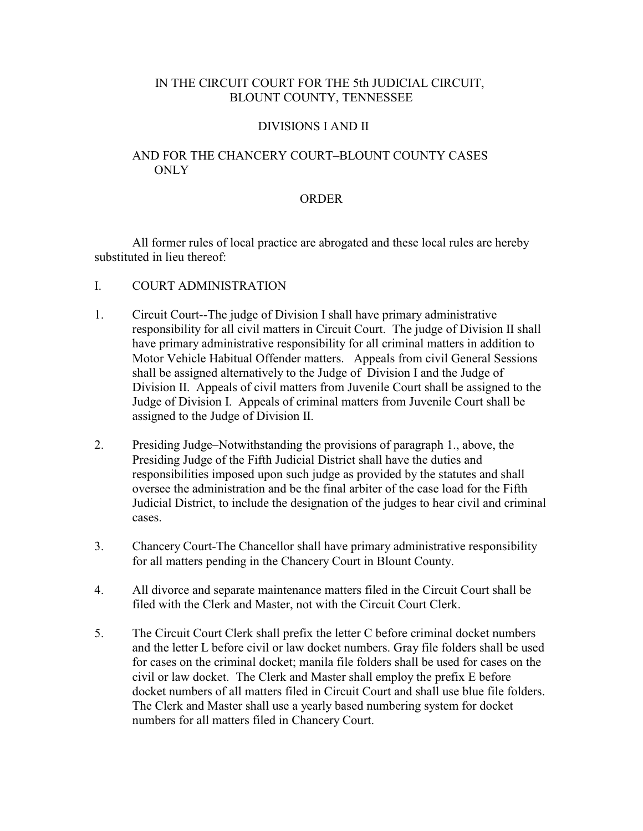# IN THE CIRCUIT COURT FOR THE 5th JUDICIAL CIRCUIT, BLOUNT COUNTY, TENNESSEE

#### DIVISIONS I AND II

# AND FOR THE CHANCERY COURT–BLOUNT COUNTY CASES ONLY

# ORDER

All former rules of local practice are abrogated and these local rules are hereby substituted in lieu thereof:

## I. COURT ADMINISTRATION

- 1. Circuit Court--The judge of Division I shall have primary administrative responsibility for all civil matters in Circuit Court. The judge of Division II shall have primary administrative responsibility for all criminal matters in addition to Motor Vehicle Habitual Offender matters. Appeals from civil General Sessions shall be assigned alternatively to the Judge of Division I and the Judge of Division II. Appeals of civil matters from Juvenile Court shall be assigned to the Judge of Division I. Appeals of criminal matters from Juvenile Court shall be assigned to the Judge of Division II.
- 2. Presiding Judge–Notwithstanding the provisions of paragraph 1., above, the Presiding Judge of the Fifth Judicial District shall have the duties and responsibilities imposed upon such judge as provided by the statutes and shall oversee the administration and be the final arbiter of the case load for the Fifth Judicial District, to include the designation of the judges to hear civil and criminal cases.
- 3. Chancery Court-The Chancellor shall have primary administrative responsibility for all matters pending in the Chancery Court in Blount County.
- 4. All divorce and separate maintenance matters filed in the Circuit Court shall be filed with the Clerk and Master, not with the Circuit Court Clerk.
- 5. The Circuit Court Clerk shall prefix the letter C before criminal docket numbers and the letter L before civil or law docket numbers. Gray file folders shall be used for cases on the criminal docket; manila file folders shall be used for cases on the civil or law docket. The Clerk and Master shall employ the prefix E before docket numbers of all matters filed in Circuit Court and shall use blue file folders. The Clerk and Master shall use a yearly based numbering system for docket numbers for all matters filed in Chancery Court.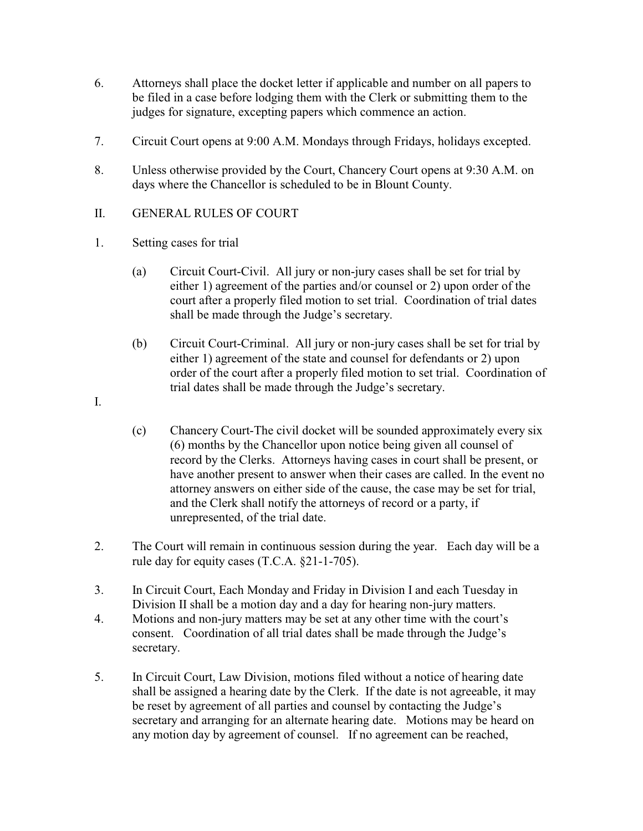- 6. Attorneys shall place the docket letter if applicable and number on all papers to be filed in a case before lodging them with the Clerk or submitting them to the judges for signature, excepting papers which commence an action.
- 7. Circuit Court opens at 9:00 A.M. Mondays through Fridays, holidays excepted.
- 8. Unless otherwise provided by the Court, Chancery Court opens at 9:30 A.M. on days where the Chancellor is scheduled to be in Blount County.
- II. GENERAL RULES OF COURT
- 1. Setting cases for trial
	- (a) Circuit Court-Civil. All jury or non-jury cases shall be set for trial by either 1) agreement of the parties and/or counsel or 2) upon order of the court after a properly filed motion to set trial. Coordination of trial dates shall be made through the Judge's secretary.
	- (b) Circuit Court-Criminal. All jury or non-jury cases shall be set for trial by either 1) agreement of the state and counsel for defendants or 2) upon order of the court after a properly filed motion to set trial. Coordination of trial dates shall be made through the Judge's secretary.
- I.
- (c) Chancery Court-The civil docket will be sounded approximately every six (6) months by the Chancellor upon notice being given all counsel of record by the Clerks. Attorneys having cases in court shall be present, or have another present to answer when their cases are called. In the event no attorney answers on either side of the cause, the case may be set for trial, and the Clerk shall notify the attorneys of record or a party, if unrepresented, of the trial date.
- 2. The Court will remain in continuous session during the year. Each day will be a rule day for equity cases (T.C.A. §21-1-705).
- 3. In Circuit Court, Each Monday and Friday in Division I and each Tuesday in Division II shall be a motion day and a day for hearing non-jury matters.
- 4. Motions and non-jury matters may be set at any other time with the court's consent. Coordination of all trial dates shall be made through the Judge's secretary.
- 5. In Circuit Court, Law Division, motions filed without a notice of hearing date shall be assigned a hearing date by the Clerk. If the date is not agreeable, it may be reset by agreement of all parties and counsel by contacting the Judge's secretary and arranging for an alternate hearing date. Motions may be heard on any motion day by agreement of counsel. If no agreement can be reached,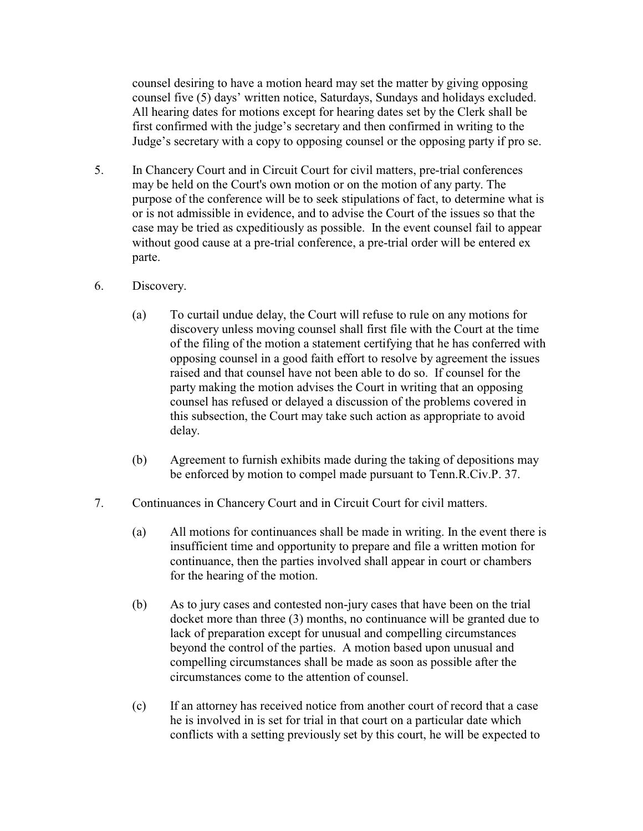counsel desiring to have a motion heard may set the matter by giving opposing counsel five (5) days' written notice, Saturdays, Sundays and holidays excluded. All hearing dates for motions except for hearing dates set by the Clerk shall be first confirmed with the judge's secretary and then confirmed in writing to the Judge's secretary with a copy to opposing counsel or the opposing party if pro se.

- 5. In Chancery Court and in Circuit Court for civil matters, pre-trial conferences may be held on the Court's own motion or on the motion of any party. The purpose of the conference will be to seek stipulations of fact, to determine what is or is not admissible in evidence, and to advise the Court of the issues so that the case may be tried as cxpeditiously as possible. In the event counsel fail to appear without good cause at a pre-trial conference, a pre-trial order will be entered ex parte.
- 6. Discovery.
	- (a) To curtail undue delay, the Court will refuse to rule on any motions for discovery unless moving counsel shall first file with the Court at the time of the filing of the motion a statement certifying that he has conferred with opposing counsel in a good faith effort to resolve by agreement the issues raised and that counsel have not been able to do so. If counsel for the party making the motion advises the Court in writing that an opposing counsel has refused or delayed a discussion of the problems covered in this subsection, the Court may take such action as appropriate to avoid delay.
	- (b) Agreement to furnish exhibits made during the taking of depositions may be enforced by motion to compel made pursuant to Tenn.R.Civ.P. 37.
- 7. Continuances in Chancery Court and in Circuit Court for civil matters.
	- (a) All motions for continuances shall be made in writing. In the event there is insufficient time and opportunity to prepare and file a written motion for continuance, then the parties involved shall appear in court or chambers for the hearing of the motion.
	- (b) As to jury cases and contested non-jury cases that have been on the trial docket more than three (3) months, no continuance will be granted due to lack of preparation except for unusual and compelling circumstances beyond the control of the parties. A motion based upon unusual and compelling circumstances shall be made as soon as possible after the circumstances come to the attention of counsel.
	- (c) If an attorney has received notice from another court of record that a case he is involved in is set for trial in that court on a particular date which conflicts with a setting previously set by this court, he will be expected to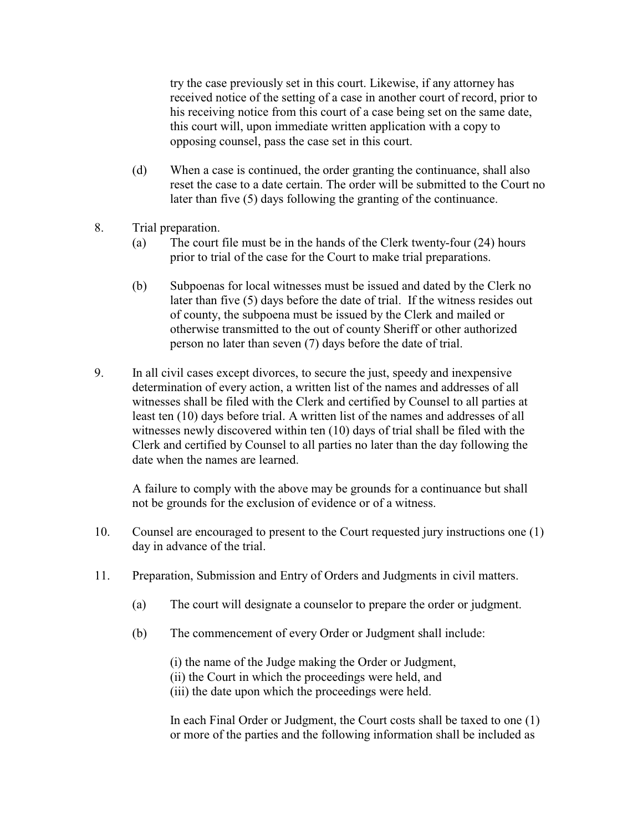try the case previously set in this court. Likewise, if any attorney has received notice of the setting of a case in another court of record, prior to his receiving notice from this court of a case being set on the same date, this court will, upon immediate written application with a copy to opposing counsel, pass the case set in this court.

- (d) When a case is continued, the order granting the continuance, shall also reset the case to a date certain. The order will be submitted to the Court no later than five (5) days following the granting of the continuance.
- 8. Trial preparation.
	- (a) The court file must be in the hands of the Clerk twenty-four (24) hours prior to trial of the case for the Court to make trial preparations.
	- (b) Subpoenas for local witnesses must be issued and dated by the Clerk no later than five (5) days before the date of trial. If the witness resides out of county, the subpoena must be issued by the Clerk and mailed or otherwise transmitted to the out of county Sheriff or other authorized person no later than seven (7) days before the date of trial.
- 9. In all civil cases except divorces, to secure the just, speedy and inexpensive determination of every action, a written list of the names and addresses of all witnesses shall be filed with the Clerk and certified by Counsel to all parties at least ten (10) days before trial. A written list of the names and addresses of all witnesses newly discovered within ten (10) days of trial shall be filed with the Clerk and certified by Counsel to all parties no later than the day following the date when the names are learned.

A failure to comply with the above may be grounds for a continuance but shall not be grounds for the exclusion of evidence or of a witness.

- 10. Counsel are encouraged to present to the Court requested jury instructions one (1) day in advance of the trial.
- 11. Preparation, Submission and Entry of Orders and Judgments in civil matters.
	- (a) The court will designate a counselor to prepare the order or judgment.
	- (b) The commencement of every Order or Judgment shall include:

(i) the name of the Judge making the Order or Judgment, (ii) the Court in which the proceedings were held, and

(iii) the date upon which the proceedings were held.

In each Final Order or Judgment, the Court costs shall be taxed to one (1) or more of the parties and the following information shall be included as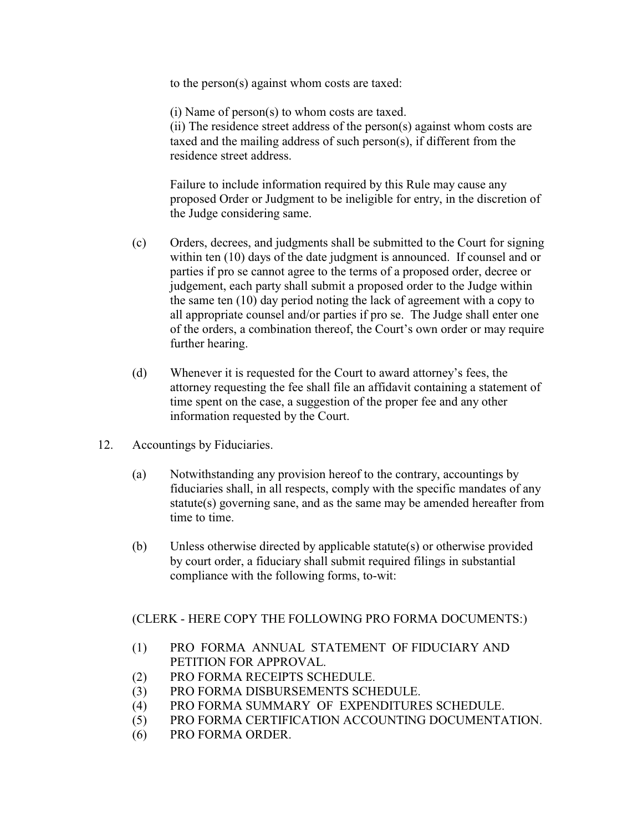to the person(s) against whom costs are taxed:

(i) Name of person(s) to whom costs are taxed. (ii) The residence street address of the person(s) against whom costs are taxed and the mailing address of such person(s), if different from the residence street address.

Failure to include information required by this Rule may cause any proposed Order or Judgment to be ineligible for entry, in the discretion of the Judge considering same.

- (c) Orders, decrees, and judgments shall be submitted to the Court for signing within ten (10) days of the date judgment is announced. If counsel and or parties if pro se cannot agree to the terms of a proposed order, decree or judgement, each party shall submit a proposed order to the Judge within the same ten (10) day period noting the lack of agreement with a copy to all appropriate counsel and/or parties if pro se. The Judge shall enter one of the orders, a combination thereof, the Court's own order or may require further hearing.
- (d) Whenever it is requested for the Court to award attorney's fees, the attorney requesting the fee shall file an affidavit containing a statement of time spent on the case, a suggestion of the proper fee and any other information requested by the Court.
- 12. Accountings by Fiduciaries.
	- (a) Notwithstanding any provision hereof to the contrary, accountings by fiduciaries shall, in all respects, comply with the specific mandates of any statute(s) governing sane, and as the same may be amended hereafter from time to time.
	- (b) Unless otherwise directed by applicable statute(s) or otherwise provided by court order, a fiduciary shall submit required filings in substantial compliance with the following forms, to-wit:

# (CLERK - HERE COPY THE FOLLOWING PRO FORMA DOCUMENTS:)

- (1) PRO FORMA ANNUAL STATEMENT OF FIDUCIARY AND PETITION FOR APPROVAL.
- (2) PRO FORMA RECEIPTS SCHEDULE.
- (3) PRO FORMA DISBURSEMENTS SCHEDULE.
- (4) PRO FORMA SUMMARY OF EXPENDITURES SCHEDULE.
- (5) PRO FORMA CERTIFICATION ACCOUNTING DOCUMENTATION.
- (6) PRO FORMA ORDER.